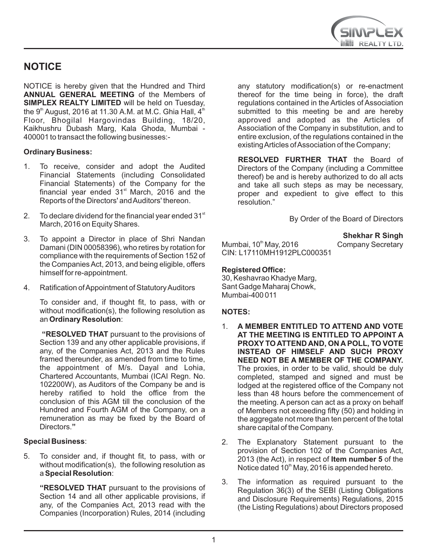

# **NOTICE**

NOTICE is hereby given that the Hundred and Third **ANNUAL GENERAL MEETING** of the Members of **SIMPLEX REALTY LIMITED** will be held on Tuesday, the 9<sup>th</sup> August, 2016 at 11.30 A.M. at M.C. Ghia Hall,  $4<sup>th</sup>$ Floor, Bhogilal Hargovindas Building, 18/20, Kaikhushru Dubash Marg, Kala Ghoda, Mumbai - 400001 to transact the following businesses:-

# **Ordinary Business:**

- 1. To receive, consider and adopt the Audited Financial Statements (including Consolidated Financial Statements) of the Company for the financial year ended  $31<sup>st</sup>$  March, 2016 and the Reports of the Directors' and Auditors' thereon.
- 2. To declare dividend for the financial year ended  $31<sup>st</sup>$ March, 2016 on Equity Shares.
- 3. To appoint a Director in place of Shri Nandan Damani (DIN 00058396), who retires by rotation for compliance with the requirements of Section 152 of the Companies Act, 2013, and being eligible, offers himself for re-appointment.
- 4. Ratification of Appointment of Statutory Auditors

To consider and, if thought fit, to pass, with or without modification(s), the following resolution as an **Ordinary Resolution**:

 **"RESOLVED THAT** pursuant to the provisions of Section 139 and any other applicable provisions, if any, of the Companies Act, 2013 and the Rules framed thereunder, as amended from time to time, the appointment of M/s. Dayal and Lohia, Chartered Accountants, Mumbai (ICAI Regn. No. 102200W), as Auditors of the Company be and is hereby ratified to hold the office from the conclusion of this AGM till the conclusion of the Hundred and Fourth AGM of the Company, on a remuneration as may be fixed by the Board of Directors.**"**

### **Special Business**:

5. To consider and, if thought fit, to pass, with or without modification(s), the following resolution as a **Special Resolution**:

**"RESOLVED THAT** pursuant to the provisions of Section 14 and all other applicable provisions, if any, of the Companies Act, 2013 read with the Companies (Incorporation) Rules, 2014 (including any statutory modification(s) or re-enactment thereof for the time being in force), the draft regulations contained in the Articles of Association submitted to this meeting be and are hereby approved and adopted as the Articles of Association of the Company in substitution, and to entire exclusion, of the regulations contained in the existing Articles of Association of the Company;

**RESOLVED FURTHER THAT** the Board of Directors of the Company (including a Committee thereof) be and is hereby authorized to do all acts and take all such steps as may be necessary, proper and expedient to give effect to this resolution."

By Order of the Board of Directors

# **Shekhar R Singh <br>Company Secretary**

Mumbai,  $10<sup>th</sup>$  May, 2016 CIN: L17110MH1912PLC000351

### **Registered Office:**

30, Keshavrao Khadye Marg, Sant Gadge Maharaj Chowk, Mumbai-400 011

### **NOTES:**

- 1. **A MEMBER ENTITLED TO ATTEND AND VOTE AT THE MEETING IS ENTITLED TO APPOINT A PROXY TO ATTEND AND, ON A POLL, TO VOTE INSTEAD OF HIMSELF AND SUCH PROXY NEED NOT BE A MEMBER OF THE COMPANY.**  The proxies, in order to be valid, should be duly completed, stamped and signed and must be lodged at the registered office of the Company not less than 48 hours before the commencement of the meeting. A person can act as a proxy on behalf of Members not exceeding fifty (50) and holding in the aggregate not more than ten percent of the total share capital of the Company.
- 2. The Explanatory Statement pursuant to the provision of Section 102 of the Companies Act, 2013 (the Act), in respect of **Item number 5** of the Notice dated 10<sup>th</sup> May, 2016 is appended hereto.
- 3. The information as required pursuant to the Regulation 36(3) of the SEBI (Listing Obligations and Disclosure Requirements) Regulations, 2015 (the Listing Regulations) about Directors proposed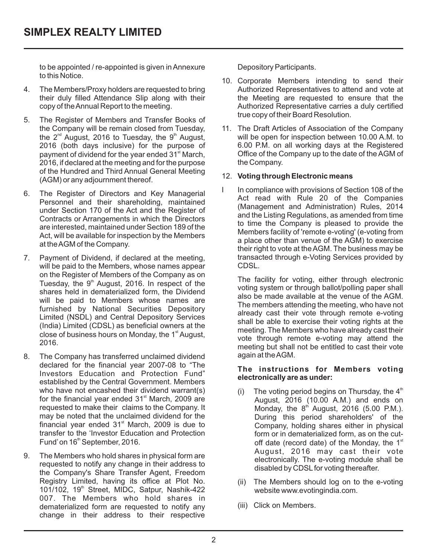to be appointed / re-appointed is given in Annexure to this Notice.

- 4. The Members/Proxy holders are requested to bring their duly filled Attendance Slip along with their copy of the Annual Report to the meeting.
- 5. The Register of Members and Transfer Books of the Company will be remain closed from Tuesday, the  $2^{nd}$  August, 2016 to Tuesday, the  $9^{th}$  August. 2016 (both days inclusive) for the purpose of payment of dividend for the year ended 31<sup>st</sup> March, 2016, if declared at the meeting and for the purpose of the Hundred and Third Annual General Meeting (AGM) or any adjournment thereof.
- 6. The Register of Directors and Key Managerial Personnel and their shareholding, maintained under Section 170 of the Act and the Register of Contracts or Arrangements in which the Directors are interested, maintained under Section 189 of the Act, will be available for inspection by the Members at the AGM of the Company.
- 7. Payment of Dividend, if declared at the meeting, will be paid to the Members, whose names appear on the Register of Members of the Company as on Tuesday, the 9<sup>th</sup> August, 2016. In respect of the shares held in dematerialized form, the Dividend will be paid to Members whose names are furnished by National Securities Depository Limited (NSDL) and Central Depository Services (India) Limited (CDSL) as beneficial owners at the close of business hours on Monday, the  $1<sup>st</sup>$  August, 2016.
- 8. The Company has transferred unclaimed dividend declared for the financial year 2007-08 to "The Investors Education and Protection Fund" established by the Central Government. Members who have not encashed their dividend warrant(s) for the financial year ended  $31<sup>st</sup>$  March, 2009 are requested to make their claims to the Company. It may be noted that the unclaimed dividend for the financial year ended  $31<sup>st</sup>$  March, 2009 is due to transfer to the 'Investor Education and Protection Fund' on 16<sup>th</sup> September, 2016.
- 9. The Members who hold shares in physical form are requested to notify any change in their address to the Company's Share Transfer Agent, Freedom Registry Limited, having its office at Plot No. 101/102, 19<sup>th</sup> Street, MIDC, Satpur, Nashik-422 007. The Members who hold shares in dematerialized form are requested to notify any change in their address to their respective

Depository Participants.

- 10. Corporate Members intending to send their Authorized Representatives to attend and vote at the Meeting are requested to ensure that the Authorized Representative carries a duly certified true copy of their Board Resolution.
- 11. The Draft Articles of Association of the Company will be open for inspection between 10.00 A.M. to 6.00 P.M. on all working days at the Registered Office of the Company up to the date of the AGM of the Company.

# 12. **Voting through Electronic means**

I In compliance with provisions of Section 108 of the Act read with Rule 20 of the Companies (Management and Administration) Rules, 2014 and the Listing Regulations, as amended from time to time the Company is pleased to provide the Members facility of 'remote e-voting' (e-voting from a place other than venue of the AGM) to exercise their right to vote at the AGM. The business may be transacted through e-Voting Services provided by CDSL.

The facility for voting, either through electronic voting system or through ballot/polling paper shall also be made available at the venue of the AGM. The members attending the meeting, who have not already cast their vote through remote e-voting shall be able to exercise their voting rights at the meeting. The Members who have already cast their vote through remote e-voting may attend the meeting but shall not be entitled to cast their vote again at the AGM.

# **The instructions for Members voting electronically are as under:**

- (i) The voting period begins on Thursday, the  $4<sup>th</sup>$ August, 2016 (10.00 A.M.) and ends on Monday, the  $8<sup>th</sup>$  August, 2016 (5.00 P.M.). During this period shareholders' of the Company, holding shares either in physical form or in dematerialized form, as on the cutoff date (record date) of the Monday, the  $1<sup>st</sup>$ August, 2016 may cast their vote electronically. The e-voting module shall be disabled by CDSL for voting thereafter.
- (ii) The Members should log on to the e-voting website www.evotingindia.com.
- (iii) Click on Members.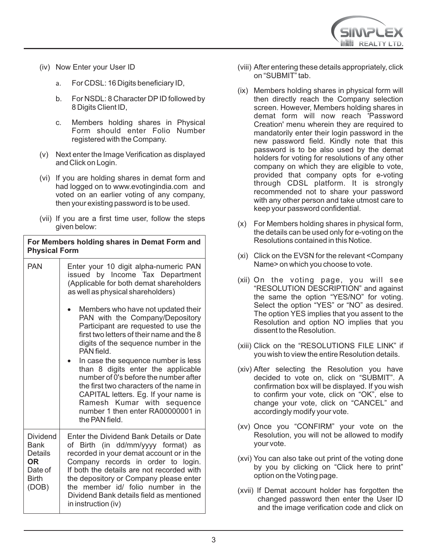

- (iv) Now Enter your User ID
	- a. For CDSL: 16 Digits beneficiary ID,
	- b. For NSDL: 8 Character DP ID followed by 8 Digits Client ID,
	- c. Members holding shares in Physical Form should enter Folio Number registered with the Company.
- (v) Next enter the Image Verification as displayed and Click on Login.
- (vi) If you are holding shares in demat form and had logged on to www.evotingindia.com and voted on an earlier voting of any company, then your existing password is to be used.
- (vii) If you are a first time user, follow the steps given below:

| For Members holding shares in Demat Form and<br><b>Physical Form</b>   |                                                                                                                                                                                                                                                                                                                                                                 |
|------------------------------------------------------------------------|-----------------------------------------------------------------------------------------------------------------------------------------------------------------------------------------------------------------------------------------------------------------------------------------------------------------------------------------------------------------|
| <b>PAN</b>                                                             | Enter your 10 digit alpha-numeric PAN<br>issued by Income Tax Department<br>(Applicable for both demat shareholders<br>as well as physical shareholders)                                                                                                                                                                                                        |
|                                                                        | Members who have not updated their<br>PAN with the Company/Depository<br>Participant are requested to use the<br>first two letters of their name and the 8<br>digits of the sequence number in the<br>PAN field.                                                                                                                                                |
|                                                                        | In case the sequence number is less<br>than 8 digits enter the applicable<br>number of 0's before the number after<br>the first two characters of the name in<br>CAPITAL letters. Eg. If your name is<br>Ramesh Kumar with sequence<br>number 1 then enter RA00000001 in<br>the PAN field.                                                                      |
| Dividend<br>Bank<br>Details<br>OR.<br>Date of<br><b>Birth</b><br>(DOB) | Enter the Dividend Bank Details or Date<br>of Birth (in dd/mm/yyyy format) as<br>recorded in your demat account or in the<br>Company records in order to login.<br>If both the details are not recorded with<br>the depository or Company please enter<br>the member id/ folio number in the<br>Dividend Bank details field as mentioned<br>in instruction (iv) |

- (viii) After entering these details appropriately, click on "SUBMIT" tab.
- (ix) Members holding shares in physical form will then directly reach the Company selection screen. However, Members holding shares in demat form will now reach 'Password Creation' menu wherein they are required to mandatorily enter their login password in the new password field. Kindly note that this password is to be also used by the demat holders for voting for resolutions of any other company on which they are eligible to vote, provided that company opts for e-voting through CDSL platform. It is strongly recommended not to share your password with any other person and take utmost care to keep your password confidential.
- (x) For Members holding shares in physical form, the details can be used only for e-voting on the Resolutions contained in this Notice.
- (xi) Click on the EVSN for the relevant <Company Name> on which you choose to vote.
- (xii) On the voting page, you will see "RESOLUTION DESCRIPTION" and against the same the option "YES/NO" for voting. Select the option "YES" or "NO" as desired. The option YES implies that you assent to the Resolution and option NO implies that you dissent to the Resolution.
- (xiii) Click on the "RESOLUTIONS FILE LINK" if you wish to view the entire Resolution details.
- (xiv) After selecting the Resolution you have decided to vote on, click on "SUBMIT". A confirmation box will be displayed. If you wish to confirm your vote, click on "OK", else to change your vote, click on "CANCEL" and accordingly modify your vote.
- (xv) Once you "CONFIRM" your vote on the Resolution, you will not be allowed to modify your vote.
- (xvi) You can also take out print of the voting done by you by clicking on "Click here to print" option on the Voting page.
- (xvii) If Demat account holder has forgotten the changed password then enter the User ID and the image verification code and click on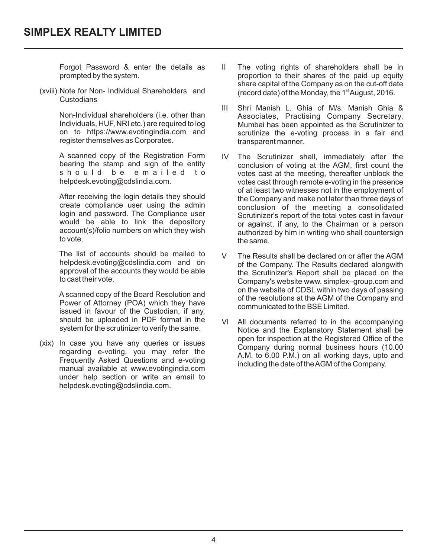Forgot Password & enter the details as prompted by the system.

(xviii) Note for Non- Individual Shareholders and Custodians

> Non-Individual shareholders (i.e. other than Individuals, HUF, NRI etc.) are required to log on to https://www.evotingindia.com and register themselves as Corporates.

> A scanned copy of the Registration Form bearing the stamp and sign of the entity<br>s h o u l d b e e m a i l e d t o b e e m a i l e d t o helpdesk.evoting@cdslindia.com.

> After receiving the login details they should create compliance user using the admin login and password. The Compliance user would be able to link the depository account(s)/folio numbers on which they wish to vote.

> The list of accounts should be mailed to helpdesk.evoting@cdslindia.com and on approval of the accounts they would be able to cast their vote.

> A scanned copy of the Board Resolution and Power of Attorney (POA) which they have issued in favour of the Custodian, if any, should be uploaded in PDF format in the system for the scrutinizer to verify the same.

(xix) In case you have any queries or issues regarding e-voting, you may refer the Frequently Asked Questions and e-voting manual available at www.evotingindia.com under help section or write an email to helpdesk.evoting@cdslindia.com.

- II The voting rights of shareholders shall be in proportion to their shares of the paid up equity share capital of the Company as on the cut-off date  $(record date)$  of the Monday, the 1 $st$  August, 2016.
- III Shri Manish L. Ghia of M/s. Manish Ghia & Associates, Practising Company Secretary, Mumbai has been appointed as the Scrutinizer to scrutinize the e-voting process in a fair and transparent manner.
- IV The Scrutinizer shall, immediately after the conclusion of voting at the AGM, first count the votes cast at the meeting, thereafter unblock the votes cast through remote e-voting in the presence of at least two witnesses not in the employment of the Company and make not later than three days of conclusion of the meeting a consolidated Scrutinizer's report of the total votes cast in favour or against, if any, to the Chairman or a person authorized by him in writing who shall countersign the same.
- V The Results shall be declared on or after the AGM of the Company. The Results declared alongwith the Scrutinizer's Report shall be placed on the Company's website www. simplex–group.com and on the website of CDSL within two days of passing of the resolutions at the AGM of the Company and communicated to the BSE Limited.
- VI All documents referred to in the accompanying Notice and the Explanatory Statement shall be open for inspection at the Registered Office of the Company during normal business hours (10.00 A.M. to 6.00 P.M.) on all working days, upto and including the date of the AGM of the Company.